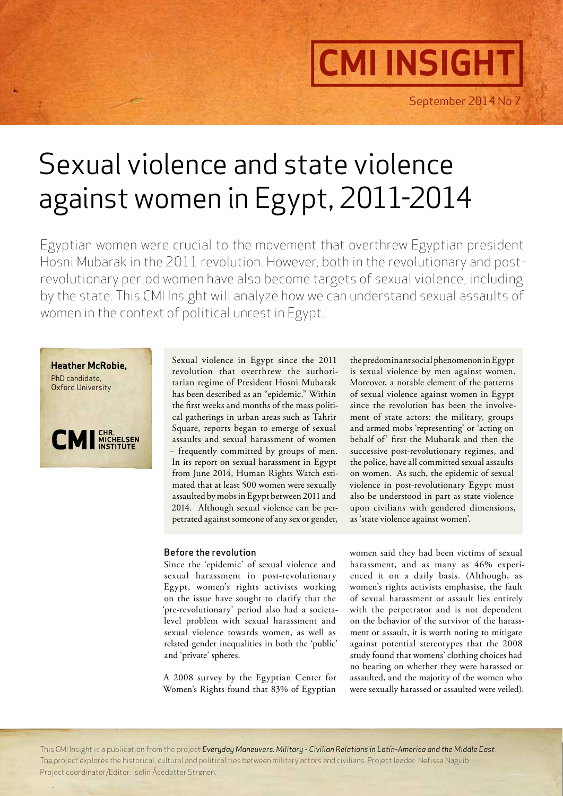**CMI INSIGHT**

September 2014 No 7

Sexual violence and state violence against women in Egypt, 2011-2014

Egyptian women were crucial to the movement that overthrew Egyptian president Hosni Mubarak in the 2011 revolution. However, both in the revolutionary and postrevolutionary period women have also become targets of sexual violence, including by the state. This CMI Insight will analyze how we can understand sexual assaults of women in the context of political unrest in Egypt.



Sexual violence in Egypt since the 2011 revolution that overthrew the authoritarian regime of President Hosni Mubarak has been described as an "epidemic." Within the first weeks and months of the mass political gatherings in urban areas such as Tahrir Square, reports began to emerge of sexual assaults and sexual harassment of women – frequently committed by groups of men. In its report on sexual harassment in Egypt from June 2014, Human Rights Watch estimated that at least 500 women were sexually assaulted by mobs in Egypt between 2011 and 2014. Although sexual violence can be perpetrated against someone of any sex or gender,

### Before the revolution

Since the 'epidemic' of sexual violence and sexual harassment in post-revolutionary Egypt, women's rights activists working on the issue have sought to clarify that the 'pre-revolutionary' period also had a societalevel problem with sexual harassment and sexual violence towards women, as well as related gender inequalities in both the 'public' and 'private' spheres.

A 2008 survey by the Egyptian Center for Women's Rights found that 83% of Egyptian

the predominant social phenomenon in Egypt is sexual violence by men against women. Moreover, a notable element of the patterns of sexual violence against women in Egypt since the revolution has been the involvement of state actors: the military, groups and armed mobs 'representing' or 'acting on behalf of' first the Mubarak and then the successive post-revolutionary regimes, and the police, have all committed sexual assaults on women. As such, the epidemic of sexual violence in post-revolutionary Egypt must also be understood in part as state violence upon civilians with gendered dimensions, as 'state violence against women'.

women said they had been victims of sexual harassment, and as many as 46% experienced it on a daily basis. (Although, as women's rights activists emphasise, the fault of sexual harassment or assault lies entirely with the perpetrator and is not dependent on the behavior of the survivor of the harassment or assault, it is worth noting to mitigate against potential stereotypes that the 2008 study found that womens' clothing choices had no bearing on whether they were harassed or assaulted, and the majority of the women who were sexually harassed or assaulted were veiled).

This CMI Insight is a publication from the project *Everyday Maneuvers: Military - Civilian Relations in Latin-America and the Middle East*. The project explores the historical, cultural and political ties between military actors and civilians. Project leader: Nefissa Naguib. Project coordinator/Editor: Iselin Åsedotter Strønen.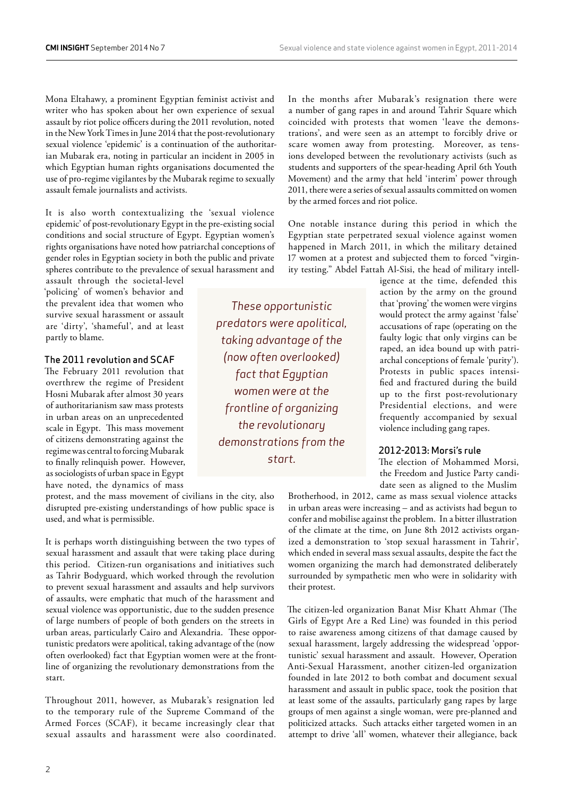Mona Eltahawy, a prominent Egyptian feminist activist and writer who has spoken about her own experience of sexual assault by riot police officers during the 2011 revolution, noted in the New York Times in June 2014 that the post-revolutionary sexual violence 'epidemic' is a continuation of the authoritarian Mubarak era, noting in particular an incident in 2005 in which Egyptian human rights organisations documented the use of pro-regime vigilantes by the Mubarak regime to sexually assault female journalists and activists.

It is also worth contextualizing the 'sexual violence epidemic' of post-revolutionary Egypt in the pre-existing social conditions and social structure of Egypt. Egyptian women's rights organisations have noted how patriarchal conceptions of gender roles in Egyptian society in both the public and private spheres contribute to the prevalence of sexual harassment and

assault through the societal-level 'policing' of women's behavior and the prevalent idea that women who survive sexual harassment or assault are 'dirty', 'shameful', and at least partly to blame.

# The 2011 revolution and SCAF

The February 2011 revolution that overthrew the regime of President Hosni Mubarak after almost 30 years of authoritarianism saw mass protests in urban areas on an unprecedented scale in Egypt. This mass movement of citizens demonstrating against the regime was central to forcing Mubarak to finally relinquish power. However, as sociologists of urban space in Egypt have noted, the dynamics of mass

protest, and the mass movement of civilians in the city, also disrupted pre-existing understandings of how public space is used, and what is permissible.

It is perhaps worth distinguishing between the two types of sexual harassment and assault that were taking place during this period. Citizen-run organisations and initiatives such as Tahrir Bodyguard, which worked through the revolution to prevent sexual harassment and assaults and help survivors of assaults, were emphatic that much of the harassment and sexual violence was opportunistic, due to the sudden presence of large numbers of people of both genders on the streets in urban areas, particularly Cairo and Alexandria. These opportunistic predators were apolitical, taking advantage of the (now often overlooked) fact that Egyptian women were at the frontline of organizing the revolutionary demonstrations from the start.

Throughout 2011, however, as Mubarak's resignation led to the temporary rule of the Supreme Command of the Armed Forces (SCAF), it became increasingly clear that sexual assaults and harassment were also coordinated.

In the months after Mubarak's resignation there were a number of gang rapes in and around Tahrir Square which coincided with protests that women 'leave the demonstrations', and were seen as an attempt to forcibly drive or scare women away from protesting. Moreover, as tensions developed between the revolutionary activists (such as students and supporters of the spear-heading April 6th Youth Movement) and the army that held 'interim' power through 2011, there were a series of sexual assaults committed on women by the armed forces and riot police.

One notable instance during this period in which the Egyptian state perpetrated sexual violence against women happened in March 2011, in which the military detained 17 women at a protest and subjected them to forced "virginity testing." Abdel Fattah Al-Sisi, the head of military intell-

> igence at the time, defended this action by the army on the ground that 'proving' the women were virgins would protect the army against 'false' accusations of rape (operating on the faulty logic that only virgins can be raped, an idea bound up with patriarchal conceptions of female 'purity'). Protests in public spaces intensified and fractured during the build up to the first post-revolutionary Presidential elections, and were frequently accompanied by sexual violence including gang rapes.

## 2012-2013: Morsi's rule

The election of Mohammed Morsi, the Freedom and Justice Party candidate seen as aligned to the Muslim

Brotherhood, in 2012, came as mass sexual violence attacks in urban areas were increasing – and as activists had begun to confer and mobilise against the problem. In a bitter illustration of the climate at the time, on June 8th 2012 activists organized a demonstration to 'stop sexual harassment in Tahrir', which ended in several mass sexual assaults, despite the fact the women organizing the march had demonstrated deliberately surrounded by sympathetic men who were in solidarity with their protest.

The citizen-led organization Banat Misr Khatt Ahmar (The Girls of Egypt Are a Red Line) was founded in this period to raise awareness among citizens of that damage caused by sexual harassment, largely addressing the widespread 'opportunistic' sexual harassment and assault. However, Operation Anti-Sexual Harassment, another citizen-led organization founded in late 2012 to both combat and document sexual harassment and assault in public space, took the position that at least some of the assaults, particularly gang rapes by large groups of men against a single woman, were pre-planned and politicized attacks. Such attacks either targeted women in an attempt to drive 'all' women, whatever their allegiance, back

*These opportunistic predators were apolitical, taking advantage of the (now often overlooked) fact that Egyptian women were at the frontline of organizing the revolutionary demonstrations from the start.*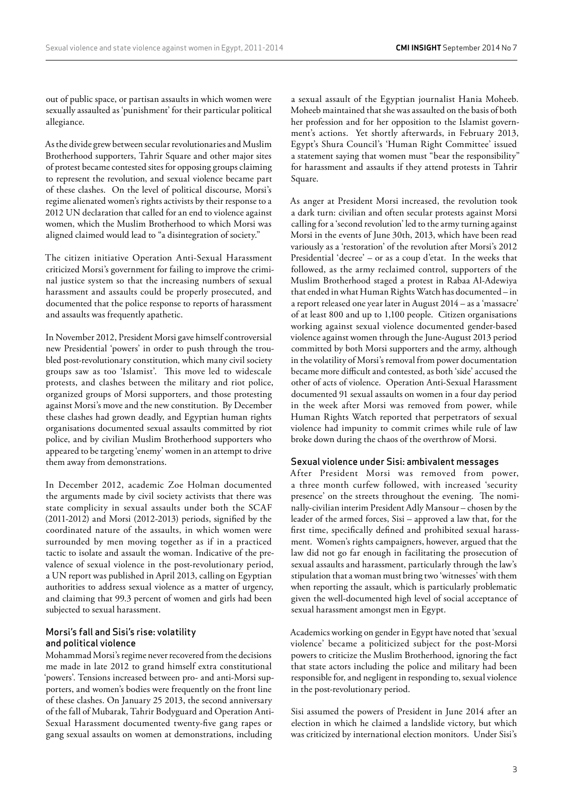out of public space, or partisan assaults in which women were sexually assaulted as 'punishment' for their particular political allegiance.

As the divide grew between secular revolutionaries and Muslim Brotherhood supporters, Tahrir Square and other major sites of protest became contested sites for opposing groups claiming to represent the revolution, and sexual violence became part of these clashes. On the level of political discourse, Morsi's regime alienated women's rights activists by their response to a 2012 UN declaration that called for an end to violence against women, which the Muslim Brotherhood to which Morsi was aligned claimed would lead to "a disintegration of society."

The citizen initiative Operation Anti-Sexual Harassment criticized Morsi's government for failing to improve the criminal justice system so that the increasing numbers of sexual harassment and assaults could be properly prosecuted, and documented that the police response to reports of harassment and assaults was frequently apathetic.

In November 2012, President Morsi gave himself controversial new Presidential 'powers' in order to push through the troubled post-revolutionary constitution, which many civil society groups saw as too 'Islamist'. This move led to widescale protests, and clashes between the military and riot police, organized groups of Morsi supporters, and those protesting against Morsi's move and the new constitution. By December these clashes had grown deadly, and Egyptian human rights organisations documented sexual assaults committed by riot police, and by civilian Muslim Brotherhood supporters who appeared to be targeting 'enemy' women in an attempt to drive them away from demonstrations.

In December 2012, academic Zoe Holman documented the arguments made by civil society activists that there was state complicity in sexual assaults under both the SCAF (2011-2012) and Morsi (2012-2013) periods, signified by the coordinated nature of the assaults, in which women were surrounded by men moving together as if in a practiced tactic to isolate and assault the woman. Indicative of the prevalence of sexual violence in the post-revolutionary period, a UN report was published in April 2013, calling on Egyptian authorities to address sexual violence as a matter of urgency, and claiming that 99.3 percent of women and girls had been subjected to sexual harassment.

# Morsi's fall and Sisi's rise: volatility and political violence

Mohammad Morsi's regime never recovered from the decisions me made in late 2012 to grand himself extra constitutional 'powers'. Tensions increased between pro- and anti-Morsi supporters, and women's bodies were frequently on the front line of these clashes. On January 25 2013, the second anniversary of the fall of Mubarak, Tahrir Bodyguard and Operation Anti-Sexual Harassment documented twenty-five gang rapes or gang sexual assaults on women at demonstrations, including

a sexual assault of the Egyptian journalist Hania Moheeb. Moheeb maintained that she was assaulted on the basis of both her profession and for her opposition to the Islamist government's actions. Yet shortly afterwards, in February 2013, Egypt's Shura Council's 'Human Right Committee' issued a statement saying that women must "bear the responsibility" for harassment and assaults if they attend protests in Tahrir Square.

As anger at President Morsi increased, the revolution took a dark turn: civilian and often secular protests against Morsi calling for a 'second revolution' led to the army turning against Morsi in the events of June 30th, 2013, which have been read variously as a 'restoration' of the revolution after Morsi's 2012 Presidential 'decree' – or as a coup d'etat. In the weeks that followed, as the army reclaimed control, supporters of the Muslim Brotherhood staged a protest in Rabaa Al-Adewiya that ended in what Human Rights Watch has documented – in a report released one year later in August 2014 – as a 'massacre' of at least 800 and up to 1,100 people. Citizen organisations working against sexual violence documented gender-based violence against women through the June-August 2013 period committed by both Morsi supporters and the army, although in the volatility of Morsi's removal from power documentation became more difficult and contested, as both 'side' accused the other of acts of violence. Operation Anti-Sexual Harassment documented 91 sexual assaults on women in a four day period in the week after Morsi was removed from power, while Human Rights Watch reported that perpetrators of sexual violence had impunity to commit crimes while rule of law broke down during the chaos of the overthrow of Morsi.

## Sexual violence under Sisi: ambivalent messages

After President Morsi was removed from power, a three month curfew followed, with increased 'security presence' on the streets throughout the evening. The nominally-civilian interim President Adly Mansour – chosen by the leader of the armed forces, Sisi – approved a law that, for the first time, specifically defined and prohibited sexual harassment. Women's rights campaigners, however, argued that the law did not go far enough in facilitating the prosecution of sexual assaults and harassment, particularly through the law's stipulation that a woman must bring two 'witnesses' with them when reporting the assault, which is particularly problematic given the well-documented high level of social acceptance of sexual harassment amongst men in Egypt.

Academics working on gender in Egypt have noted that 'sexual violence' became a politicized subject for the post-Morsi powers to criticize the Muslim Brotherhood, ignoring the fact that state actors including the police and military had been responsible for, and negligent in responding to, sexual violence in the post-revolutionary period.

Sisi assumed the powers of President in June 2014 after an election in which he claimed a landslide victory, but which was criticized by international election monitors. Under Sisi's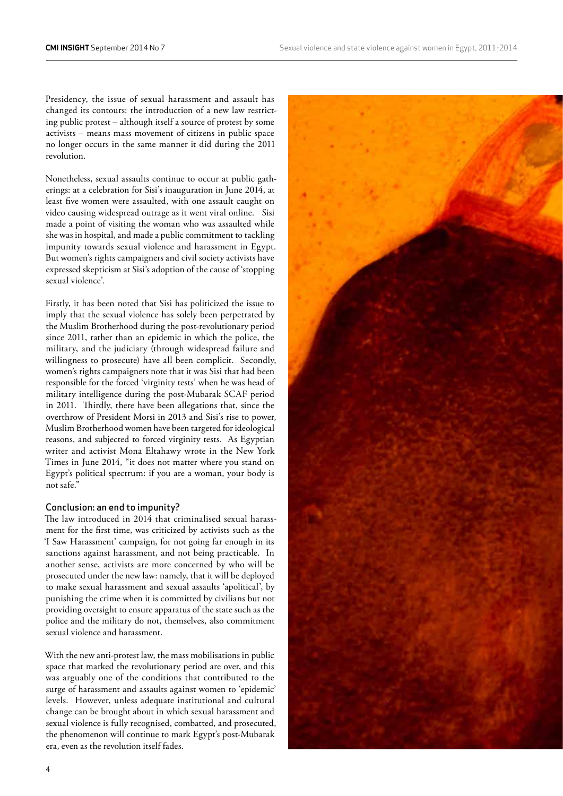Presidency, the issue of sexual harassment and assault has changed its contours: the introduction of a new law restricting public protest – although itself a source of protest by some activists – means mass movement of citizens in public space no longer occurs in the same manner it did during the 2011 revolution.

Nonetheless, sexual assaults continue to occur at public gatherings: at a celebration for Sisi's inauguration in June 2014, at least five women were assaulted, with one assault caught on video causing widespread outrage as it went viral online. Sisi made a point of visiting the woman who was assaulted while she was in hospital, and made a public commitment to tackling impunity towards sexual violence and harassment in Egypt. But women's rights campaigners and civil society activists have expressed skepticism at Sisi's adoption of the cause of 'stopping sexual violence'.

Firstly, it has been noted that Sisi has politicized the issue to imply that the sexual violence has solely been perpetrated by the Muslim Brotherhood during the post-revolutionary period since 2011, rather than an epidemic in which the police, the military, and the judiciary (through widespread failure and willingness to prosecute) have all been complicit. Secondly, women's rights campaigners note that it was Sisi that had been responsible for the forced 'virginity tests' when he was head of military intelligence during the post-Mubarak SCAF period in 2011. Thirdly, there have been allegations that, since the overthrow of President Morsi in 2013 and Sisi's rise to power, Muslim Brotherhood women have been targeted for ideological reasons, and subjected to forced virginity tests. As Egyptian writer and activist Mona Eltahawy wrote in the New York Times in June 2014, "it does not matter where you stand on Egypt's political spectrum: if you are a woman, your body is not safe."

### Conclusion: an end to impunity?

The law introduced in 2014 that criminalised sexual harassment for the first time, was criticized by activists such as the 'I Saw Harassment' campaign, for not going far enough in its sanctions against harassment, and not being practicable. In another sense, activists are more concerned by who will be prosecuted under the new law: namely, that it will be deployed to make sexual harassment and sexual assaults 'apolitical', by punishing the crime when it is committed by civilians but not providing oversight to ensure apparatus of the state such as the police and the military do not, themselves, also commitment sexual violence and harassment.

With the new anti-protest law, the mass mobilisations in public space that marked the revolutionary period are over, and this was arguably one of the conditions that contributed to the surge of harassment and assaults against women to 'epidemic' levels. However, unless adequate institutional and cultural change can be brought about in which sexual harassment and sexual violence is fully recognised, combatted, and prosecuted, the phenomenon will continue to mark Egypt's post-Mubarak era, even as the revolution itself fades.

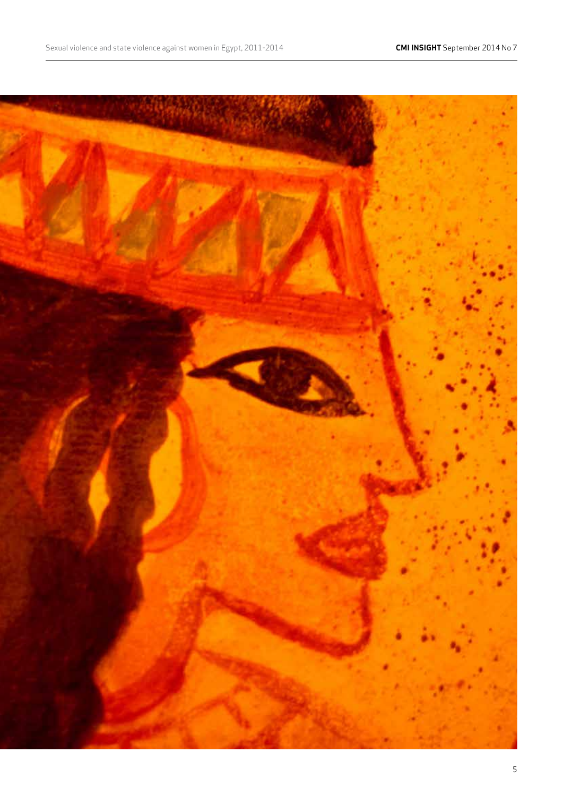